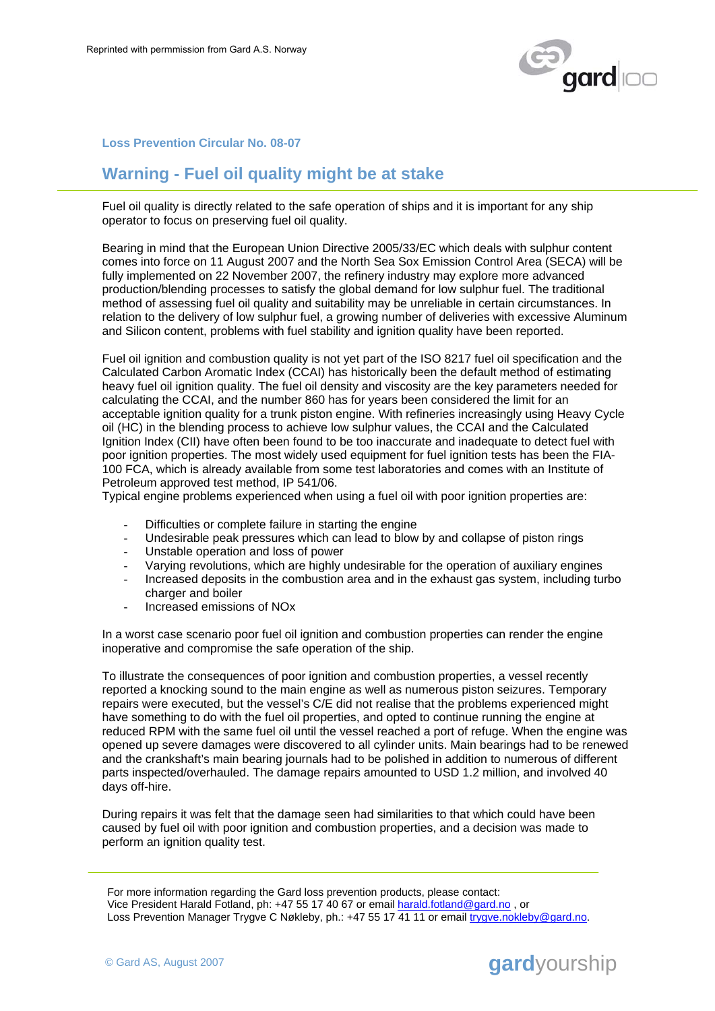

## **Loss Prevention Circular No. 08-07**

## **Warning - Fuel oil quality might be at stake**

Fuel oil quality is directly related to the safe operation of ships and it is important for any ship operator to focus on preserving fuel oil quality.

Bearing in mind that the European Union Directive 2005/33/EC which deals with sulphur content comes into force on 11 August 2007 and the North Sea Sox Emission Control Area (SECA) will be fully implemented on 22 November 2007, the refinery industry may explore more advanced production/blending processes to satisfy the global demand for low sulphur fuel. The traditional method of assessing fuel oil quality and suitability may be unreliable in certain circumstances. In relation to the delivery of low sulphur fuel, a growing number of deliveries with excessive Aluminum and Silicon content, problems with fuel stability and ignition quality have been reported.

Fuel oil ignition and combustion quality is not yet part of the ISO 8217 fuel oil specification and the Calculated Carbon Aromatic Index (CCAI) has historically been the default method of estimating heavy fuel oil ignition quality. The fuel oil density and viscosity are the key parameters needed for calculating the CCAI, and the number 860 has for years been considered the limit for an acceptable ignition quality for a trunk piston engine. With refineries increasingly using Heavy Cycle oil (HC) in the blending process to achieve low sulphur values, the CCAI and the Calculated Ignition Index (CII) have often been found to be too inaccurate and inadequate to detect fuel with poor ignition properties. The most widely used equipment for fuel ignition tests has been the FIA-100 FCA, which is already available from some test laboratories and comes with an Institute of Petroleum approved test method, IP 541/06.

Typical engine problems experienced when using a fuel oil with poor ignition properties are:

- Difficulties or complete failure in starting the engine
- Undesirable peak pressures which can lead to blow by and collapse of piston rings
- Unstable operation and loss of power
- Varying revolutions, which are highly undesirable for the operation of auxiliary engines
- Increased deposits in the combustion area and in the exhaust gas system, including turbo charger and boiler
- Increased emissions of NOx

In a worst case scenario poor fuel oil ignition and combustion properties can render the engine inoperative and compromise the safe operation of the ship.

To illustrate the consequences of poor ignition and combustion properties, a vessel recently reported a knocking sound to the main engine as well as numerous piston seizures. Temporary repairs were executed, but the vessel's C/E did not realise that the problems experienced might have something to do with the fuel oil properties, and opted to continue running the engine at reduced RPM with the same fuel oil until the vessel reached a port of refuge. When the engine was opened up severe damages were discovered to all cylinder units. Main bearings had to be renewed and the crankshaft's main bearing journals had to be polished in addition to numerous of different parts inspected/overhauled. The damage repairs amounted to USD 1.2 million, and involved 40 days off-hire.

During repairs it was felt that the damage seen had similarities to that which could have been caused by fuel oil with poor ignition and combustion properties, and a decision was made to perform an ignition quality test.

For more information regarding the Gard loss prevention products, please contact: Vice President Harald Fotland, ph: +47 55 17 40 67 or email harald.fotland@gard.no , or Loss Prevention Manager Trygve C Nøkleby, ph.: +47 55 17 41 11 or email trygve.nokleby@gard.no.